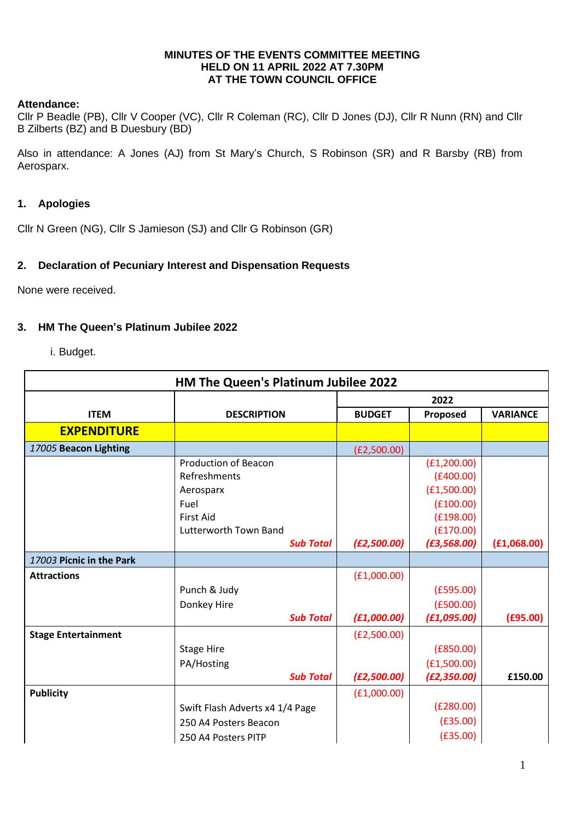#### **MINUTES OF THE EVENTS COMMITTEE MEETING HELD ON 11 APRIL 2022 AT 7.30PM AT THE TOWN COUNCIL OFFICE**

#### **Attendance:**

Cllr P Beadle (PB), Cllr V Cooper (VC), Cllr R Coleman (RC), Cllr D Jones (DJ), Cllr R Nunn (RN) and Cllr B Zilberts (BZ) and B Duesbury (BD)

Also in attendance: A Jones (AJ) from St Mary's Church, S Robinson (SR) and R Barsby (RB) from Aerosparx.

## **1. Apologies**

Cllr N Green (NG), Cllr S Jamieson (SJ) and Cllr G Robinson (GR)

### **2. Declaration of Pecuniary Interest and Dispensation Requests**

None were received.

#### **3. HM The Queen's Platinum Jubilee 2022**

i. Budget.

| HM The Queen's Platinum Jubilee 2022 |                                 |               |              |                 |  |  |
|--------------------------------------|---------------------------------|---------------|--------------|-----------------|--|--|
|                                      |                                 | 2022          |              |                 |  |  |
| <b>ITEM</b>                          | <b>DESCRIPTION</b>              | <b>BUDGET</b> | Proposed     | <b>VARIANCE</b> |  |  |
| <b>EXPENDITURE</b>                   |                                 |               |              |                 |  |  |
| 17005 Beacon Lighting                |                                 | (E2,500.00)   |              |                 |  |  |
|                                      | <b>Production of Beacon</b>     |               | (E1, 200.00) |                 |  |  |
|                                      | Refreshments                    |               | (E400.00)    |                 |  |  |
|                                      | Aerosparx                       |               | (E1,500.00)  |                 |  |  |
|                                      | Fuel                            |               | (E100.00)    |                 |  |  |
|                                      | <b>First Aid</b>                |               | (E198.00)    |                 |  |  |
|                                      | Lutterworth Town Band           |               | (E170.00)    |                 |  |  |
|                                      | <b>Sub Total</b>                | (E2,500.00)   | (E3, 568.00) | (E1,068.00)     |  |  |
| 17003 Picnic in the Park             |                                 |               |              |                 |  |  |
| <b>Attractions</b>                   |                                 | (E1,000.00)   |              |                 |  |  |
|                                      | Punch & Judy                    |               | (E595.00)    |                 |  |  |
|                                      | Donkey Hire                     |               | (E500.00)    |                 |  |  |
|                                      | <b>Sub Total</b>                | (E1,000.00)   | (E1,095.00)  | (E95.00)        |  |  |
| <b>Stage Entertainment</b>           |                                 | (E2,500.00)   |              |                 |  |  |
|                                      | <b>Stage Hire</b>               |               | (E850.00)    |                 |  |  |
|                                      | PA/Hosting                      |               | (E1,500.00)  |                 |  |  |
|                                      | <b>Sub Total</b>                | (E2,500.00)   | (E2, 350.00) | £150.00         |  |  |
| <b>Publicity</b>                     |                                 | (E1,000.00)   |              |                 |  |  |
|                                      | Swift Flash Adverts x4 1/4 Page |               | (E280.00)    |                 |  |  |
|                                      | 250 A4 Posters Beacon           |               | (E35.00)     |                 |  |  |
|                                      | 250 A4 Posters PITP             |               | (E35.00)     |                 |  |  |